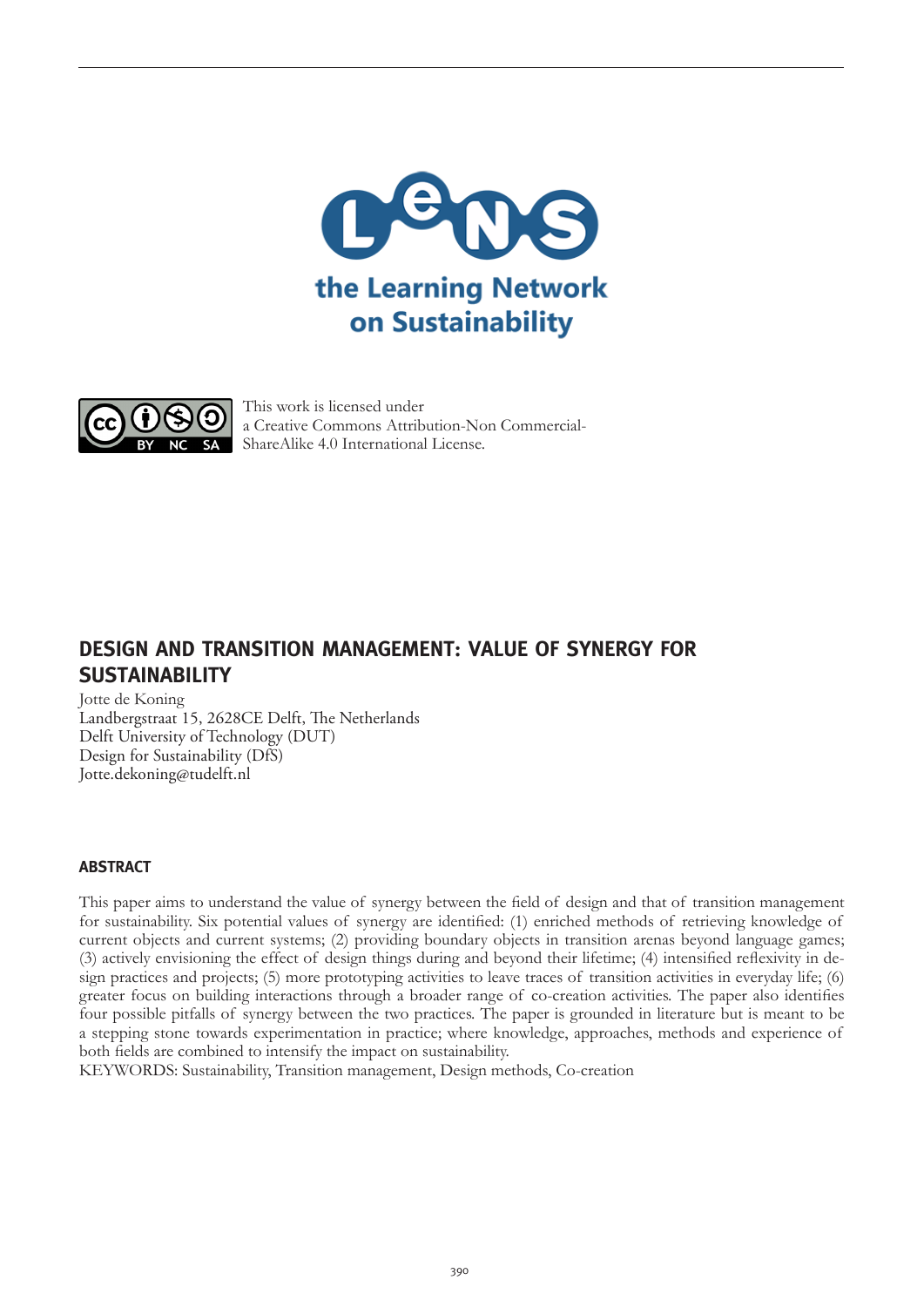



This work is licensed under a Creative Commons Attribution-Non Commercial-ShareAlike 4.0 International License.

# **DESIGN AND TRANSITION MANAGEMENT: VALUE OF SYNERGY FOR SUSTAINABILITY**

Jotte de Koning

Landbergstraat 15, 2628CE Delft, The Netherlands Delft University of Technology (DUT) Design for Sustainability (DfS) Jotte.dekoning@tudelft.nl

# **ABSTRACT**

This paper aims to understand the value of synergy between the field of design and that of transition management for sustainability. Six potential values of synergy are identified: (1) enriched methods of retrieving knowledge of current objects and current systems; (2) providing boundary objects in transition arenas beyond language games; (3) actively envisioning the effect of design things during and beyond their lifetime; (4) intensified reflexivity in design practices and projects; (5) more prototyping activities to leave traces of transition activities in everyday life; (6) greater focus on building interactions through a broader range of co-creation activities. The paper also identifies four possible pitfalls of synergy between the two practices. The paper is grounded in literature but is meant to be a stepping stone towards experimentation in practice; where knowledge, approaches, methods and experience of both fields are combined to intensify the impact on sustainability.

KEYWORDS: Sustainability, Transition management, Design methods, Co-creation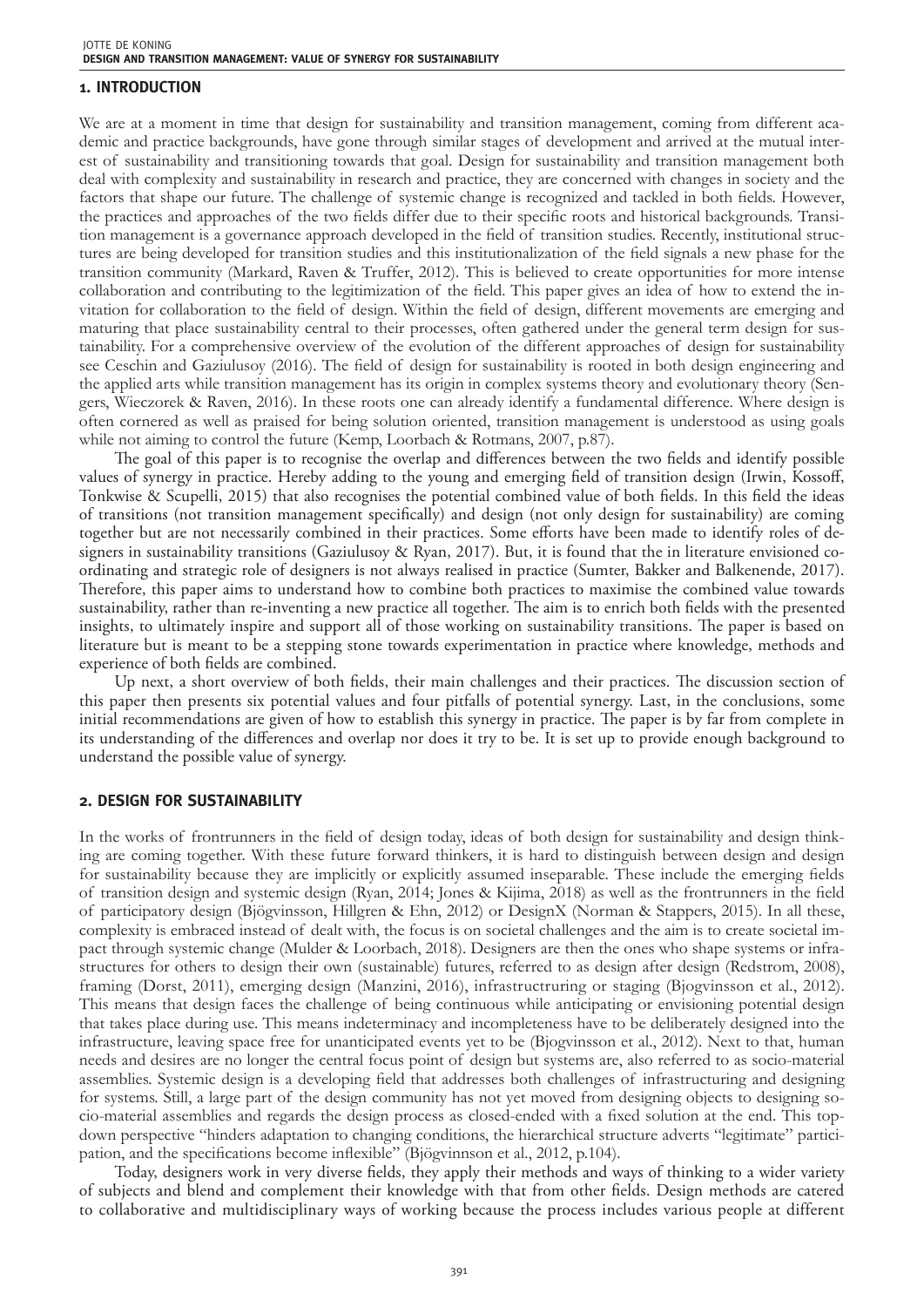#### **1. INTRODUCTION**

We are at a moment in time that design for sustainability and transition management, coming from different academic and practice backgrounds, have gone through similar stages of development and arrived at the mutual interest of sustainability and transitioning towards that goal. Design for sustainability and transition management both deal with complexity and sustainability in research and practice, they are concerned with changes in society and the factors that shape our future. The challenge of systemic change is recognized and tackled in both fields. However, the practices and approaches of the two fields differ due to their specific roots and historical backgrounds. Transition management is a governance approach developed in the field of transition studies. Recently, institutional structures are being developed for transition studies and this institutionalization of the field signals a new phase for the transition community (Markard, Raven & Truffer, 2012). This is believed to create opportunities for more intense collaboration and contributing to the legitimization of the field. This paper gives an idea of how to extend the invitation for collaboration to the field of design. Within the field of design, different movements are emerging and maturing that place sustainability central to their processes, often gathered under the general term design for sustainability. For a comprehensive overview of the evolution of the different approaches of design for sustainability see Ceschin and Gaziulusoy (2016). The field of design for sustainability is rooted in both design engineering and the applied arts while transition management has its origin in complex systems theory and evolutionary theory (Sengers, Wieczorek & Raven, 2016). In these roots one can already identify a fundamental difference. Where design is often cornered as well as praised for being solution oriented, transition management is understood as using goals while not aiming to control the future (Kemp, Loorbach & Rotmans, 2007, p.87).

The goal of this paper is to recognise the overlap and differences between the two fields and identify possible values of synergy in practice. Hereby adding to the young and emerging field of transition design (Irwin, Kossoff, Tonkwise & Scupelli, 2015) that also recognises the potential combined value of both fields. In this field the ideas of transitions (not transition management specifically) and design (not only design for sustainability) are coming together but are not necessarily combined in their practices. Some efforts have been made to identify roles of designers in sustainability transitions (Gaziulusoy & Ryan, 2017). But, it is found that the in literature envisioned coordinating and strategic role of designers is not always realised in practice (Sumter, Bakker and Balkenende, 2017). Therefore, this paper aims to understand how to combine both practices to maximise the combined value towards sustainability, rather than re-inventing a new practice all together. The aim is to enrich both fields with the presented insights, to ultimately inspire and support all of those working on sustainability transitions. The paper is based on literature but is meant to be a stepping stone towards experimentation in practice where knowledge, methods and experience of both fields are combined.

Up next, a short overview of both fields, their main challenges and their practices. The discussion section of this paper then presents six potential values and four pitfalls of potential synergy. Last, in the conclusions, some initial recommendations are given of how to establish this synergy in practice. The paper is by far from complete in its understanding of the differences and overlap nor does it try to be. It is set up to provide enough background to understand the possible value of synergy.

#### **2. DESIGN FOR SUSTAINABILITY**

In the works of frontrunners in the field of design today, ideas of both design for sustainability and design thinking are coming together. With these future forward thinkers, it is hard to distinguish between design and design for sustainability because they are implicitly or explicitly assumed inseparable. These include the emerging fields of transition design and systemic design (Ryan, 2014; Jones & Kijima, 2018) as well as the frontrunners in the field of participatory design (Bjögvinsson, Hillgren & Ehn, 2012) or DesignX (Norman & Stappers, 2015). In all these, complexity is embraced instead of dealt with, the focus is on societal challenges and the aim is to create societal impact through systemic change (Mulder & Loorbach, 2018). Designers are then the ones who shape systems or infrastructures for others to design their own (sustainable) futures, referred to as design after design (Redstrom, 2008), framing (Dorst, 2011), emerging design (Manzini, 2016), infrastructruring or staging (Bjogvinsson et al., 2012). This means that design faces the challenge of being continuous while anticipating or envisioning potential design that takes place during use. This means indeterminacy and incompleteness have to be deliberately designed into the infrastructure, leaving space free for unanticipated events yet to be (Bjogvinsson et al., 2012). Next to that, human needs and desires are no longer the central focus point of design but systems are, also referred to as socio-material assemblies. Systemic design is a developing field that addresses both challenges of infrastructuring and designing for systems. Still, a large part of the design community has not yet moved from designing objects to designing socio-material assemblies and regards the design process as closed-ended with a fixed solution at the end. This topdown perspective "hinders adaptation to changing conditions, the hierarchical structure adverts "legitimate" participation, and the specifications become inflexible" (Bjögvinnson et al., 2012, p.104).

Today, designers work in very diverse fields, they apply their methods and ways of thinking to a wider variety of subjects and blend and complement their knowledge with that from other fields. Design methods are catered to collaborative and multidisciplinary ways of working because the process includes various people at different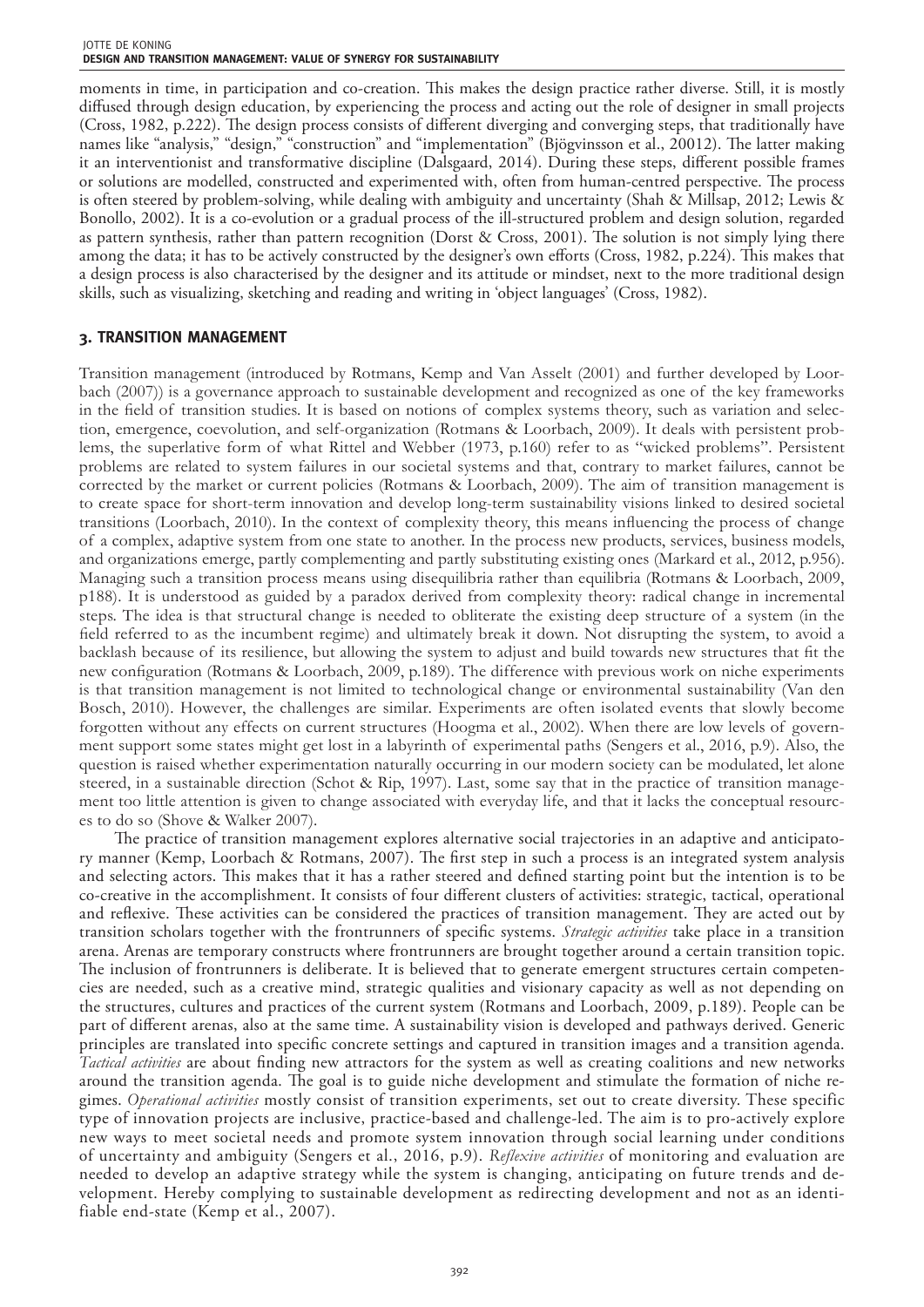moments in time, in participation and co-creation. This makes the design practice rather diverse. Still, it is mostly diffused through design education, by experiencing the process and acting out the role of designer in small projects (Cross, 1982, p.222). The design process consists of different diverging and converging steps, that traditionally have names like "analysis," "design," "construction" and "implementation" (Bjögvinsson et al., 20012). The latter making it an interventionist and transformative discipline (Dalsgaard, 2014). During these steps, different possible frames or solutions are modelled, constructed and experimented with, often from human-centred perspective. The process is often steered by problem-solving, while dealing with ambiguity and uncertainty (Shah & Millsap, 2012; Lewis & Bonollo, 2002). It is a co-evolution or a gradual process of the ill-structured problem and design solution, regarded as pattern synthesis, rather than pattern recognition (Dorst & Cross, 2001). The solution is not simply lying there among the data; it has to be actively constructed by the designer's own efforts (Cross, 1982, p.224). This makes that a design process is also characterised by the designer and its attitude or mindset, next to the more traditional design skills, such as visualizing, sketching and reading and writing in 'object languages' (Cross, 1982).

## **3. TRANSITION MANAGEMENT**

Transition management (introduced by Rotmans, Kemp and Van Asselt (2001) and further developed by Loorbach (2007)) is a governance approach to sustainable development and recognized as one of the key frameworks in the field of transition studies. It is based on notions of complex systems theory, such as variation and selection, emergence, coevolution, and self-organization (Rotmans & Loorbach, 2009). It deals with persistent problems, the superlative form of what Rittel and Webber (1973, p.160) refer to as "wicked problems". Persistent problems are related to system failures in our societal systems and that, contrary to market failures, cannot be corrected by the market or current policies (Rotmans & Loorbach, 2009). The aim of transition management is to create space for short-term innovation and develop long-term sustainability visions linked to desired societal transitions (Loorbach, 2010). In the context of complexity theory, this means influencing the process of change of a complex, adaptive system from one state to another. In the process new products, services, business models, and organizations emerge, partly complementing and partly substituting existing ones (Markard et al., 2012, p.956). Managing such a transition process means using disequilibria rather than equilibria (Rotmans & Loorbach, 2009, p188). It is understood as guided by a paradox derived from complexity theory: radical change in incremental steps. The idea is that structural change is needed to obliterate the existing deep structure of a system (in the field referred to as the incumbent regime) and ultimately break it down. Not disrupting the system, to avoid a backlash because of its resilience, but allowing the system to adjust and build towards new structures that fit the new configuration (Rotmans & Loorbach, 2009, p.189). The difference with previous work on niche experiments is that transition management is not limited to technological change or environmental sustainability (Van den Bosch, 2010). However, the challenges are similar. Experiments are often isolated events that slowly become forgotten without any effects on current structures (Hoogma et al., 2002). When there are low levels of government support some states might get lost in a labyrinth of experimental paths (Sengers et al., 2016, p.9). Also, the question is raised whether experimentation naturally occurring in our modern society can be modulated, let alone steered, in a sustainable direction (Schot & Rip, 1997). Last, some say that in the practice of transition management too little attention is given to change associated with everyday life, and that it lacks the conceptual resources to do so (Shove & Walker 2007).

The practice of transition management explores alternative social trajectories in an adaptive and anticipatory manner (Kemp, Loorbach & Rotmans, 2007). The first step in such a process is an integrated system analysis and selecting actors. This makes that it has a rather steered and defined starting point but the intention is to be co-creative in the accomplishment. It consists of four different clusters of activities: strategic, tactical, operational and reflexive. These activities can be considered the practices of transition management. They are acted out by transition scholars together with the frontrunners of specific systems. *Strategic activities* take place in a transition arena. Arenas are temporary constructs where frontrunners are brought together around a certain transition topic. The inclusion of frontrunners is deliberate. It is believed that to generate emergent structures certain competencies are needed, such as a creative mind, strategic qualities and visionary capacity as well as not depending on the structures, cultures and practices of the current system (Rotmans and Loorbach, 2009, p.189). People can be part of different arenas, also at the same time. A sustainability vision is developed and pathways derived. Generic principles are translated into specific concrete settings and captured in transition images and a transition agenda. *Tactical activities* are about finding new attractors for the system as well as creating coalitions and new networks around the transition agenda. The goal is to guide niche development and stimulate the formation of niche regimes. *Operational activities* mostly consist of transition experiments, set out to create diversity. These specific type of innovation projects are inclusive, practice-based and challenge-led. The aim is to pro-actively explore new ways to meet societal needs and promote system innovation through social learning under conditions of uncertainty and ambiguity (Sengers et al., 2016, p.9). *Reflexive activities* of monitoring and evaluation are needed to develop an adaptive strategy while the system is changing, anticipating on future trends and development. Hereby complying to sustainable development as redirecting development and not as an identifiable end-state (Kemp et al., 2007).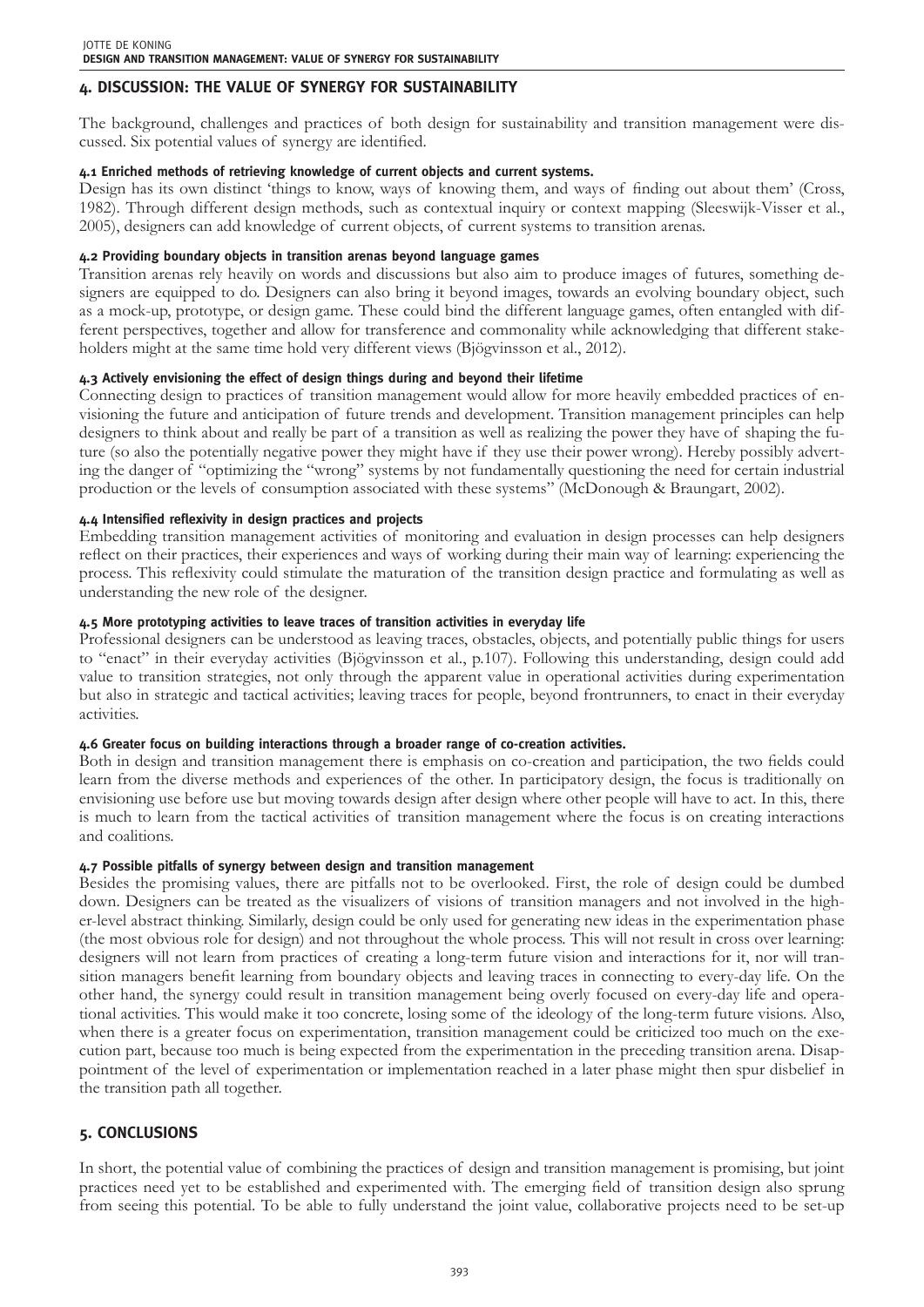# **4. DISCUSSION: THE VALUE OF SYNERGY FOR SUSTAINABILITY**

The background, challenges and practices of both design for sustainability and transition management were discussed. Six potential values of synergy are identified.

#### **4.1 Enriched methods of retrieving knowledge of current objects and current systems.**

Design has its own distinct 'things to know, ways of knowing them, and ways of finding out about them' (Cross, 1982). Through different design methods, such as contextual inquiry or context mapping (Sleeswijk-Visser et al., 2005), designers can add knowledge of current objects, of current systems to transition arenas.

#### **4.2 Providing boundary objects in transition arenas beyond language games**

Transition arenas rely heavily on words and discussions but also aim to produce images of futures, something designers are equipped to do. Designers can also bring it beyond images, towards an evolving boundary object, such as a mock-up, prototype, or design game. These could bind the different language games, often entangled with different perspectives, together and allow for transference and commonality while acknowledging that different stakeholders might at the same time hold very different views (Bjögvinsson et al., 2012).

## **4.3 Actively envisioning the effect of design things during and beyond their lifetime**

Connecting design to practices of transition management would allow for more heavily embedded practices of envisioning the future and anticipation of future trends and development. Transition management principles can help designers to think about and really be part of a transition as well as realizing the power they have of shaping the future (so also the potentially negative power they might have if they use their power wrong). Hereby possibly adverting the danger of "optimizing the "wrong" systems by not fundamentally questioning the need for certain industrial production or the levels of consumption associated with these systems" (McDonough & Braungart, 2002).

## **4.4 Intensified reflexivity in design practices and projects**

Embedding transition management activities of monitoring and evaluation in design processes can help designers reflect on their practices, their experiences and ways of working during their main way of learning: experiencing the process. This reflexivity could stimulate the maturation of the transition design practice and formulating as well as understanding the new role of the designer.

## **4.5 More prototyping activities to leave traces of transition activities in everyday life**

Professional designers can be understood as leaving traces, obstacles, objects, and potentially public things for users to "enact" in their everyday activities (Bjögvinsson et al., p.107). Following this understanding, design could add value to transition strategies, not only through the apparent value in operational activities during experimentation but also in strategic and tactical activities; leaving traces for people, beyond frontrunners, to enact in their everyday activities.

#### **4.6 Greater focus on building interactions through a broader range of co-creation activities.**

Both in design and transition management there is emphasis on co-creation and participation, the two fields could learn from the diverse methods and experiences of the other. In participatory design, the focus is traditionally on envisioning use before use but moving towards design after design where other people will have to act. In this, there is much to learn from the tactical activities of transition management where the focus is on creating interactions and coalitions.

#### **4.7 Possible pitfalls of synergy between design and transition management**

Besides the promising values, there are pitfalls not to be overlooked. First, the role of design could be dumbed down. Designers can be treated as the visualizers of visions of transition managers and not involved in the higher-level abstract thinking. Similarly, design could be only used for generating new ideas in the experimentation phase (the most obvious role for design) and not throughout the whole process. This will not result in cross over learning: designers will not learn from practices of creating a long-term future vision and interactions for it, nor will transition managers benefit learning from boundary objects and leaving traces in connecting to every-day life. On the other hand, the synergy could result in transition management being overly focused on every-day life and operational activities. This would make it too concrete, losing some of the ideology of the long-term future visions. Also, when there is a greater focus on experimentation, transition management could be criticized too much on the execution part, because too much is being expected from the experimentation in the preceding transition arena. Disappointment of the level of experimentation or implementation reached in a later phase might then spur disbelief in the transition path all together.

# **5. CONCLUSIONS**

In short, the potential value of combining the practices of design and transition management is promising, but joint practices need yet to be established and experimented with. The emerging field of transition design also sprung from seeing this potential. To be able to fully understand the joint value, collaborative projects need to be set-up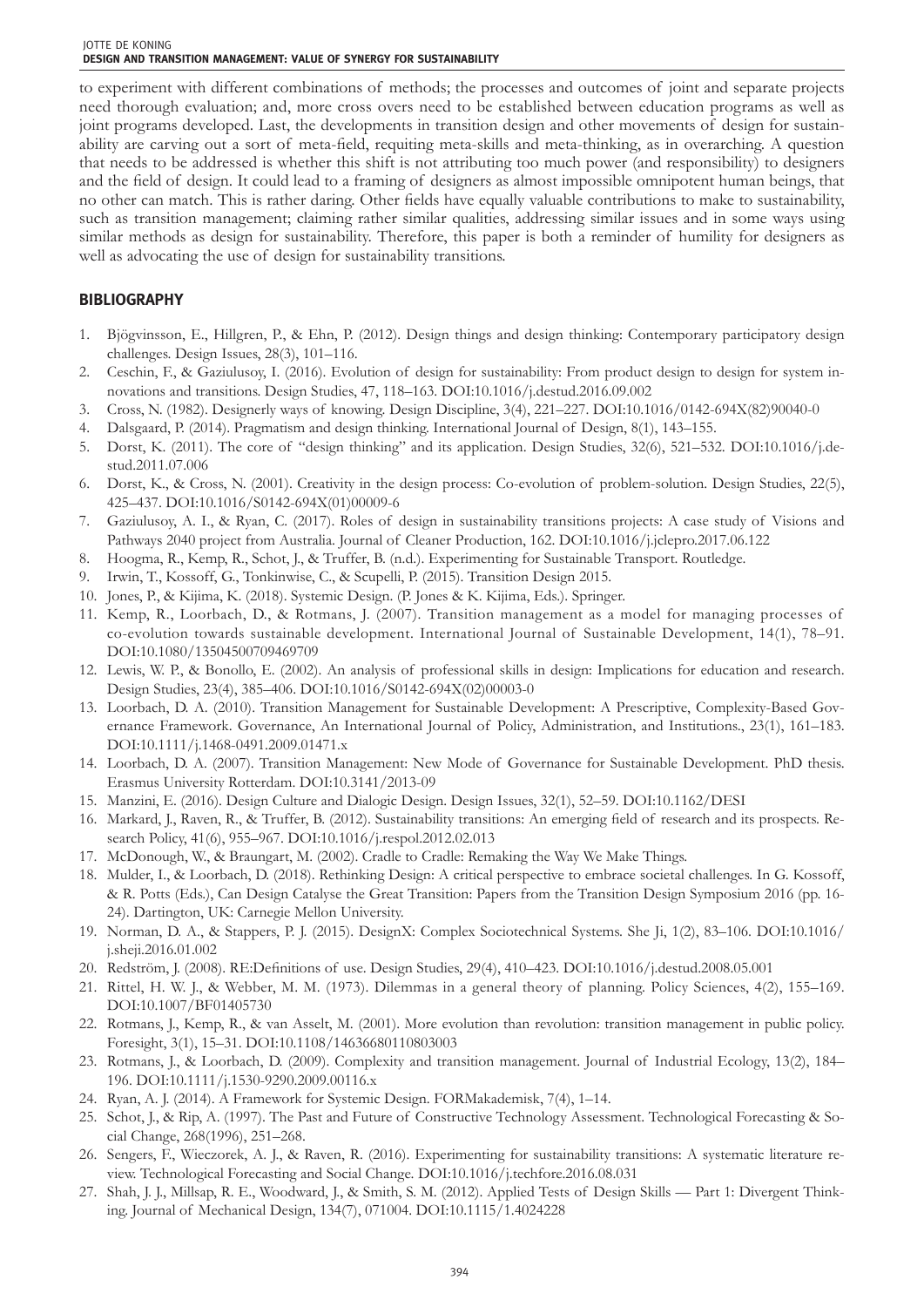to experiment with different combinations of methods; the processes and outcomes of joint and separate projects need thorough evaluation; and, more cross overs need to be established between education programs as well as joint programs developed. Last, the developments in transition design and other movements of design for sustainability are carving out a sort of meta-field, requiting meta-skills and meta-thinking, as in overarching. A question that needs to be addressed is whether this shift is not attributing too much power (and responsibility) to designers and the field of design. It could lead to a framing of designers as almost impossible omnipotent human beings, that no other can match. This is rather daring. Other fields have equally valuable contributions to make to sustainability, such as transition management; claiming rather similar qualities, addressing similar issues and in some ways using similar methods as design for sustainability. Therefore, this paper is both a reminder of humility for designers as well as advocating the use of design for sustainability transitions.

## **BIBLIOGRAPHY**

- 1. Bjögvinsson, E., Hillgren, P., & Ehn, P. (2012). Design things and design thinking: Contemporary participatory design challenges. Design Issues, 28(3), 101–116.
- 2. Ceschin, F., & Gaziulusoy, I. (2016). Evolution of design for sustainability: From product design to design for system innovations and transitions. Design Studies, 47, 118–163. DOI:10.1016/j.destud.2016.09.002
- 3. Cross, N. (1982). Designerly ways of knowing. Design Discipline, 3(4), 221–227. DOI:10.1016/0142-694X(82)90040-0
- 4. Dalsgaard, P. (2014). Pragmatism and design thinking. International Journal of Design, 8(1), 143–155.
- 5. Dorst, K. (2011). The core of "design thinking" and its application. Design Studies, 32(6), 521–532. DOI:10.1016/j.destud.2011.07.006
- 6. Dorst, K., & Cross, N. (2001). Creativity in the design process: Co-evolution of problem-solution. Design Studies, 22(5), 425–437. DOI:10.1016/S0142-694X(01)00009-6
- 7. Gaziulusoy, A. I., & Ryan, C. (2017). Roles of design in sustainability transitions projects: A case study of Visions and Pathways 2040 project from Australia. Journal of Cleaner Production, 162. DOI:10.1016/j.jclepro.2017.06.122
- 8. Hoogma, R., Kemp, R., Schot, J., & Truffer, B. (n.d.). Experimenting for Sustainable Transport. Routledge.
- 9. Irwin, T., Kossoff, G., Tonkinwise, C., & Scupelli, P. (2015). Transition Design 2015.
- 10. Jones, P., & Kijima, K. (2018). Systemic Design. (P. Jones & K. Kijima, Eds.). Springer.
- 11. Kemp, R., Loorbach, D., & Rotmans, J. (2007). Transition management as a model for managing processes of co-evolution towards sustainable development. International Journal of Sustainable Development, 14(1), 78–91. DOI:10.1080/13504500709469709
- 12. Lewis, W. P., & Bonollo, E. (2002). An analysis of professional skills in design: Implications for education and research. Design Studies, 23(4), 385–406. DOI:10.1016/S0142-694X(02)00003-0
- 13. Loorbach, D. A. (2010). Transition Management for Sustainable Development: A Prescriptive, Complexity-Based Governance Framework. Governance, An International Journal of Policy, Administration, and Institutions., 23(1), 161–183. DOI:10.1111/j.1468-0491.2009.01471.x
- 14. Loorbach, D. A. (2007). Transition Management: New Mode of Governance for Sustainable Development. PhD thesis. Erasmus University Rotterdam. DOI:10.3141/2013-09
- 15. Manzini, E. (2016). Design Culture and Dialogic Design. Design Issues, 32(1), 52–59. DOI:10.1162/DESI
- 16. Markard, J., Raven, R., & Truffer, B. (2012). Sustainability transitions: An emerging field of research and its prospects. Research Policy, 41(6), 955–967. DOI:10.1016/j.respol.2012.02.013
- 17. McDonough, W., & Braungart, M. (2002). Cradle to Cradle: Remaking the Way We Make Things.
- 18. Mulder, I., & Loorbach, D. (2018). Rethinking Design: A critical perspective to embrace societal challenges. In G. Kossoff, & R. Potts (Eds.), Can Design Catalyse the Great Transition: Papers from the Transition Design Symposium 2016 (pp. 16- 24). Dartington, UK: Carnegie Mellon University.
- 19. Norman, D. A., & Stappers, P. J. (2015). DesignX: Complex Sociotechnical Systems. She Ji, 1(2), 83–106. DOI:10.1016/ j.sheji.2016.01.002
- 20. Redström, J. (2008). RE:Definitions of use. Design Studies, 29(4), 410–423. DOI:10.1016/j.destud.2008.05.001
- 21. Rittel, H. W. J., & Webber, M. M. (1973). Dilemmas in a general theory of planning. Policy Sciences, 4(2), 155–169. DOI:10.1007/BF01405730
- 22. Rotmans, J., Kemp, R., & van Asselt, M. (2001). More evolution than revolution: transition management in public policy. Foresight, 3(1), 15–31. DOI:10.1108/14636680110803003
- 23. Rotmans, J., & Loorbach, D. (2009). Complexity and transition management. Journal of Industrial Ecology, 13(2), 184– 196. DOI:10.1111/j.1530-9290.2009.00116.x
- 24. Ryan, A. J. (2014). A Framework for Systemic Design. FORMakademisk, 7(4), 1–14.
- 25. Schot, J., & Rip, A. (1997). The Past and Future of Constructive Technology Assessment. Technological Forecasting & Social Change, 268(1996), 251–268.
- 26. Sengers, F., Wieczorek, A. J., & Raven, R. (2016). Experimenting for sustainability transitions: A systematic literature review. Technological Forecasting and Social Change. DOI:10.1016/j.techfore.2016.08.031
- 27. Shah, J. J., Millsap, R. E., Woodward, J., & Smith, S. M. (2012). Applied Tests of Design Skills Part 1: Divergent Thinking. Journal of Mechanical Design, 134(7), 071004. DOI:10.1115/1.4024228